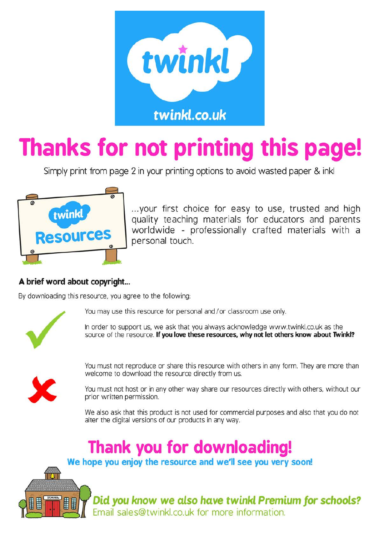

## **Thanks for not printing this page!**

Simply print from page 2 in your printing options to avoid wasted paper & ink!



... your first choice for easy to use, trusted and high quality teaching materials for educators and parents worldwide - professionally crafted materials with a personal touch.

## A brief word about copyright...

By downloading this resource, you agree to the following:



You may use this resource for personal and/or classroom use only.

In order to support us, we ask that you always acknowledge www.twinkl.co.uk as the source of the resource. If you love these resources, why not let others know about Twinkl?



You must not reproduce or share this resource with others in any form. They are more than welcome to download the resource directly from us.

You must not host or in any other way share our resources directly with others, without our prior written permission.

We also ask that this product is not used for commercial purposes and also that you do not alter the digital versions of our products in any way.

## Thank you for downloading!

We hope you enjoy the resource and we'll see you very soon!



Did you know we also have twinkl Premium for schools? Email sales@twinkl.co.uk for more information.